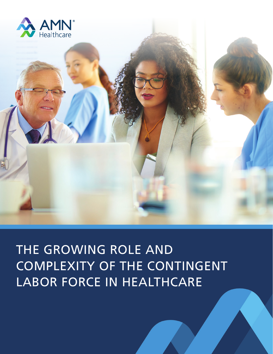

# THE GROWING ROLE AND COMPLEXITY OF THE CONTINGENT LABOR FORCE IN HEALTHCARE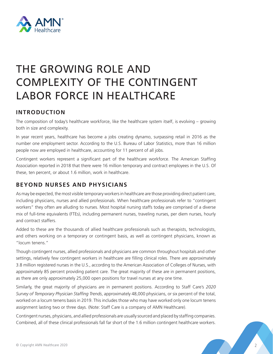

# THE GROWING ROLE AND COMPLEXITY OF THE CONTINGENT LABOR FORCE IN HEALTHCARE

## **INTRODUCTION**

The composition of today's healthcare workforce, like the healthcare system itself, is evolving – growing both in size and complexity.

In year recent years, healthcare has become a jobs creating dynamo, surpassing retail in 2016 as the number one employment sector. According to the U.S. Bureau of Labor Statistics, more than 16 million people now are employed in healthcare, accounting for 11 percent of all jobs.

Contingent workers represent a significant part of the healthcare workforce. The American Staffing Association reported in 2018 that there were 16 million temporary and contract employees in the U.S. Of these, ten percent, or about 1.6 million, work in healthcare.

# **BEYOND NURSES AND PHYSICIANS**

As may be expected, the most visible temporary workers in healthcare are those providing direct patient care, including physicians, nurses and allied professionals. When healthcare professionals refer to "contingent workers" they often are alluding to nurses. Most hospital nursing staffs today are comprised of a diverse mix of full-time equivalents (FTEs), including permanent nurses, traveling nurses, per diem nurses, hourly and contract staffers.

Added to these are the thousands of allied healthcare professionals such as therapists, technologists, and others working on a temporary or contingent basis, as well as contingent physicians, known as "locum tenens."

Though contingent nurses, allied professionals and physicians are common throughout hospitals and other settings, relatively few contingent workers in healthcare are filling clinical roles. There are approximately 3.8 million registered nurses in the U.S., according to the American Association of Colleges of Nurses, with approximately 85 percent providing patient care. The great majority of these are in permanent positions, as there are only approximately 25,000 open positions for travel nurses at any one time.

Similarly, the great majority of physicians are in permanent positions. According to Staff Care's *2020 Survey of Temporary Physician Staffing Trends*, approximately 48,000 physicians, or six percent of the total, worked on a locum tenens basis in 2019. This includes those who may have worked only one locum tenens assignment lasting two or three days. (Note: Staff Care is a company of AMN Healthcare).

Contingent nurses, physicians, and allied professionals are usually sourced and placed by staffing companies. Combined, all of these clinical professionals fall far short of the 1.6 million contingent healthcare workers.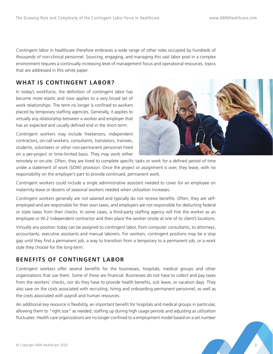Contingent labor in healthcare therefore embraces a wide range of other roles occupied by hundreds of thousands of non-clinical personnel. Sourcing, engaging, and managing this vast labor pool in a complex environment requires a continually increasing level of management focus and operational resources, topics that are addressed in this white paper.

#### **WHAT IS CONTINGENT LABOR?**

In today's workforce, the definition of contingent labor has become more elastic and now applies to a very broad set of work relationships. The term no longer is confined to workers placed by temporary staffing agencies. Generally, it applies to virtually any relationship between a worker and employer that has an expected and usually defined end in the short-term.

Contingent workers may include freelancers, independent contractors, on-call workers, consultants, translators, trainees, students, volunteers or other non-permanent personnel hired on a per-project or time-limited basis. They may work either



remotely or on-site. Often, they are hired to complete specific tasks or work for a defined period of time under a statement of work (SOW) provision. Once the project or assignment is over, they leave, with no responsibility on the employer's part to provide continued, permanent work.

Contingent workers could include a single administrative assistant needed to cover for an employee on maternity leave or dozens of seasonal workers needed when utilization increases.

Contingent workers generally are not salaried and typically do not receive benefits. Often, they are selfemployed and are responsible for their own taxes, and employers are not responsible for deducting federal or state taxes from their checks. In some cases, a third-party staffing agency will hire the worker as an employee or W-2 independent contractor and then place the worker onsite at one of its client's locations.

Virtually any position today can be assigned to contingent labor, from computer consultants, to attorneys, accountants, executive assistants and manual laborers. For workers, contingent positions may be a stop gap until they find a permanent job, a way to transition from a temporary to a permanent job, or a work style they choose for the long-term.

#### **BENEFITS OF CONTINGENT LABOR**

Contingent workers offer several benefits for the businesses, hospitals, medical groups and other organizations that use them. Some of these are financial. Businesses do not have to collect and pay taxes from the workers' checks, nor do they have to provide health benefits, sick leave, or vacation days. They also save on the costs associated with recruiting, hiring and onboarding permanent personnel, as well as the costs associated with payroll and human resources.

An additional key resource is flexibility, an important benefit for hospitals and medical groups in particular, allowing them to "right size" as needed, staffing up during high usage periods and adjusting as utilization fluctuates. Health care organizations are no longer confined to a employment model based on a set number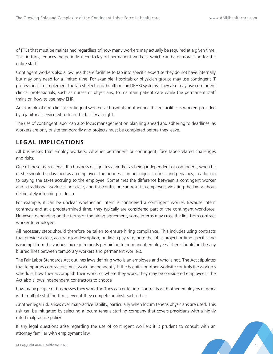of FTEs that must be maintained regardless of how many workers may actually be required at a given time. This, in turn, reduces the periodic need to lay off permanent workers, which can be demoralizing for the entire staff.

Contingent workers also allow healthcare facilities to tap into specific expertise they do not have internally but may only need for a limited time. For example, hospitals or physician groups may use contingent IT professionals to implement the latest electronic health record (EHR) systems. They also may use contingent clinical professionals, such as nurses or physicians, to maintain patient care while the permanent staff trains on how to use new EHR.

An example of non-clinical contingent workers at hospitals or other healthcare facilities is workers provided by a janitorial service who clean the facility at night.

The use of contingent labor can also focus management on planning ahead and adhering to deadlines, as workers are only onsite temporarily and projects must be completed before they leave.

# **LEGAL IMPLICATIONS**

All businesses that employ workers, whether permanent or contingent, face labor-related challenges and risks.

One of these risks is legal. If a business designates a worker as being independent or contingent, when he or she should be classified as an employee, the business can be subject to fines and penalties, in addition to paying the taxes accruing to the employee. Sometimes the difference between a contingent worker and a traditional worker is not clear, and this confusion can result in employers violating the law without deliberately intending to do so.

For example, it can be unclear whether an intern is considered a contingent worker. Because intern contracts end at a predetermined time, they typically are considered part of the contingent workforce. However, depending on the terms of the hiring agreement, some interns may cross the line from contract worker to employee.

All necessary steps should therefore be taken to ensure hiring compliance. This includes using contracts that provide a clear, accurate job description, outline a pay rate, note the job is project or time-specific and is exempt from the various tax requirements pertaining to permanent employees. There should not be any blurred lines between temporary workers and permanent workers.

The Fair Labor Standards Act outlines laws defining who is an employee and who is not. The Act stipulates that temporary contractors must work independently. If the hospital or other worksite controls the worker's schedule, how they accomplish their work, or where they work, they may be considered employees. The Act also allows independent contractors to choose

how many people or businesses they work for. They can enter into contracts with other employers or work with multiple staffing firms, even if they compete against each other.

Another legal risk arises over malpractice liability, particularly when locum tenens physicians are used. This risk can be mitigated by selecting a locum tenens staffing company that covers physicians with a highly rated malpractice policy.

If any legal questions arise regarding the use of contingent workers it is prudent to consult with an attorney familiar with employment law.

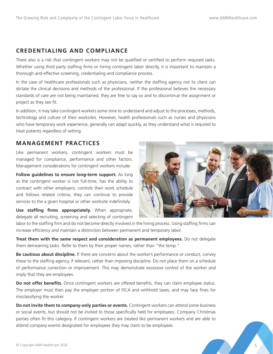#### **CREDENTIALING AND COMPLIANCE**

There also is a risk that contingent workers may not be qualified or certified to perform required tasks. Whether using third party staffing firms or hiring contingent labor directly, it is important to maintain a thorough and effective screening, credentialing and compliance process.

In the case of healthcare professionals such as physicians, neither the staffing agency nor its client can dictate the clinical decisions and methods of the professional. If the professional believes the necessary standards of care are not being maintained, they are free to say so and to discontinue the assignment or project as they see fit.

In addition, it may take contingent workers some time to understand and adjust to the processes, methods, technology and culture of their worksites. However, health professionals such as nurses and physicians who have temporary work experience, generally can adapt quickly, as they understand what is required to treat patients regardless of setting.

#### **MANAGEMENT PRACTICES**

Like permanent workers, contingent workers must be managed for compliance, performance and other factors. Management considerations for contingent workers include:

**Follow guidelines to ensure long-term support.** As long as the contingent worker is not full-time, has the ability to contract with other employers, controls their work schedule and follows related criteria, they can continue to provide services to the a given hospital or other worksite indefinitely.

**Use staffing firms appropriately.** When appropriate, delegate all recruiting, screening and selecting of contingent



labor to the staffing firm and do not become directly involved in the hiring process. Using staffing firms can increase efficiency and maintain a distinction between permanent and temporary labor.

**Treat them with the same respect and consideration as permanent employees.** Do not delegate them demeaning tasks. Refer to them by their proper names, rather than "the temp."

**Be cautious about discipline.** If there are concerns about the worker's performance or conduct, convey these to the staffing agency, if relevant, rather than imposing discipline. Do not place them on a schedule of performance correction or improvement. This may demonstrate excessive control of the worker and imply that they are employees.

**Do not offer benefits.** Once contingent workers are offered benefits, they can claim employee status. The employer must then pay the employer portion of FICA and withhold taxes, and may face fines for misclassifying the worker.

**Do not invite them to company-only parties or events.** Contingent workers can attend some business or social events, but should not be invited to those specifically held for employees. Company Christmas parties often fit this category. If contingent workers are treated like permanent workers and are able to attend company events designated for employees they may claim to be employees.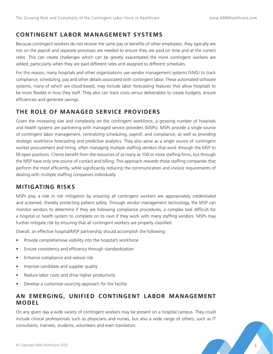#### **CONTINGENT LABOR MANAGEMENT SYSTEMS**

Because contingent workers do not receive the same pay or benefits of other employees, they typically are not on the payroll and separate processes are needed to ensure they are paid on time and at the correct rates. This can create challenges which can be greatly exacerbated the more contingent workers are added, particularly when they are paid different rates and assigned to different schedules.

For this reason, many hospitals and other organizations use vendor management systems (VMS) to track compliance, scheduling, pay and other details associated with contingent labor. These automated software systems, many of which are cloud-based, may include labor forecasting features that allow hospitals to be more flexible in how they staff. They also can track costs versus deliverables to create budgets, ensure efficiencies and generate savings.

#### **THE ROLE OF MANAGED SERVICE PROVIDERS**

Given the increasing size and complexity on the contingent workforce, a growing number of hospitals and health systems are partnering with managed service providers (MSPs). MSPs provide a single source of contingent labor management, centralizing scheduling, payroll, and compliance, as well as providing strategic workforce forecasting and predictive analytics. They also serve as a single source of contingent worker procurement and hiring, often managing multiple staffing vendors that work through the MSP to fill open positions. Clients benefit from the resources of as many as 100 or more staffing firms, but through the MSP have only one source of contact and billing. This approach rewards those staffing companies that perform the most efficiently, while significantly reducing the communication and invoice requirements of dealing with multiple staffing companies individually.

#### **MITIGATING RISKS**

MSPs play a role in risk mitigation by ensuring all contingent workers are appropriately credentialed and screened, thereby protecting patient safety. Through vendor management technology, the MSP can monitor vendors to determine if they are following compliance procedures, a complex task difficult for a hospital or health system to complete on its own if they work with many staffing vendors. MSPs may further mitigate risk by ensuring that all contingent workers are properly classified.

Overall, an effective hospital/MSP partnership should accomplish the following:

- Provide comprehensive visibility into the hospital's workforce
- Ensure consistency and efficiency through standardization
- Enhance compliance and reduce risk
- Improve candidate and supplier quality
- Reduce labor costs and drive higher productivity
- Develop a customize sourcing approach for the facility

#### **AN EMERGING, UNIFIED CONTINGENT LABOR MANAGEMENT MODEL**

On any given day a wide variety of contingent workers may be present on a hospital campus. They could include clinical professionals such as physicians and nurses, but also a wide range of others, such as IT consultants, trainees, students, volunteers and even translators.